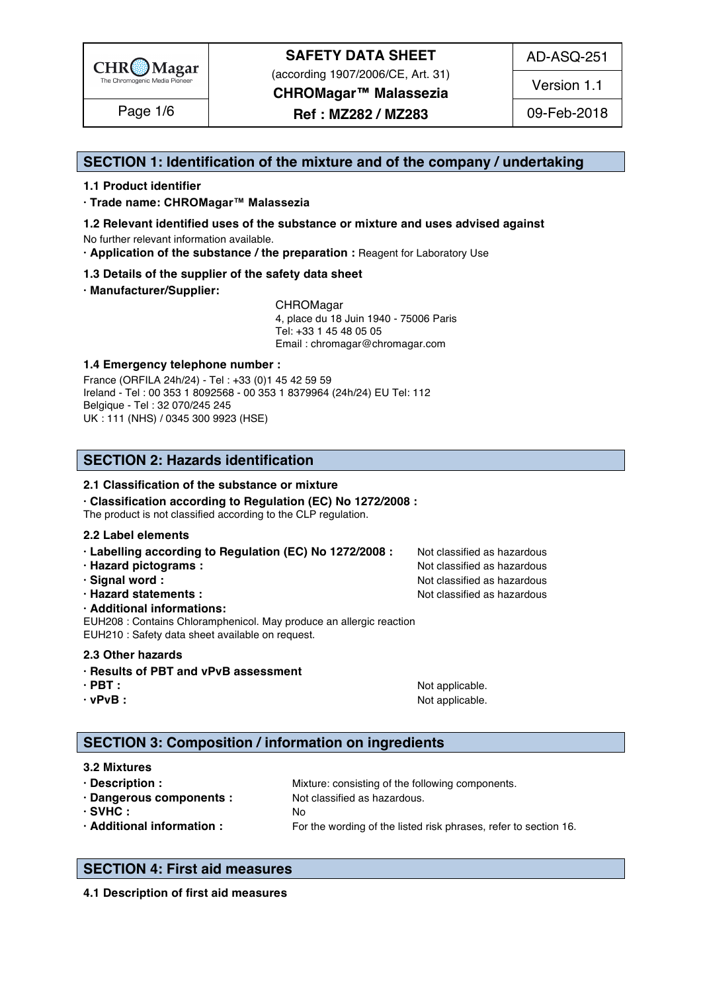

(according 1907/2006/CE, Art. 31)

AD-ASQ-251

**CHROMagar™ Malassezia** Page 1/6 | **Ref : MZ282 / MZ283** | 09-Feb-2018

Version 1.1

**SECTION 1: Identification of the mixture and of the company / undertaking** 1

## **1.1 Product identifier** 2

**· Trade name: CHROMagar™ Malassezia** 3

- **1.2 Relevant identified uses of the substance or mixture and uses advised against** 4 No further relevant information available. 5
- **· Application of the substance / the preparation :** Reagent for Laboratory Use 6

## **1.3 Details of the supplier of the safety data sheet** 7

**· Manufacturer/Supplier:** 8

CHROMagar 9 4, place du 18 Juin 1940 - 75006 Paris 10 Tel: +33 1 45 48 05 05 11 11 12 11 12 11 12 11 12 11 12 11 12 11 12 11 12 11 12 1 Email : chromagar@chromagar.com 12

## **1.4 Emergency telephone number :** 13

France (ORFILA 24h/24) - Tel: +33 (0)1 45 42 59 59 Ireland - Tel: 00 353 1 8092568 - 00 353 1 8379964 (24h/24) EU Tel: 112 Belgique - Tel : 32 070/245 245 16 UK : 111 (NHS) / 0345 300 9923 (HSE) 17

## **SECTION 2: Hazards identification** 20

## **2.1 Classification of the substance or mixture**

**· Classification according to Regulation (EC) No 1272/2008 :** 22

The product is not classified according to the CLP regulation.

### **2.2 Label elements** 24

| · Labelling according to Regulation (EC) No 1272/2008 : | Not classified as hazardous |  |  |  |  |
|---------------------------------------------------------|-----------------------------|--|--|--|--|
|---------------------------------------------------------|-----------------------------|--|--|--|--|

- **· Hazard pictograms :** Not classified as hazardous 26 and 26 and 26 and 26 and 26 and 26 and 26 and 26 and 26 and 26 and 26 and 26 and 26 and 26 and 26 and 26 and 26 and 26 and 26 and 26 and 26 and 26 and 26 and 26 and 26
- **· Signal word :** Not classified as hazardous 27 and 27 and 27 and 27 and 27 and 27 and 27 and 27 and 27 and 27 and 27 and 27 and 27 and 27 and 27 and 27 and 27 and 27 and 27 and 27 and 27 and 27 and 27 and 27 and 27 and 2

## **· Hazard statements :** Not classified as hazardous 28 and 28 and 28 and 28 and 28 and 28 and 28 and 28 and 28 and 28 and 28 and 28 and 28 and 28 and 28 and 28 and 28 and 28 and 28 and 28 and 28 and 28 and 28 and 28 and 28

**· Additional informations:** 29

EUH208 : Contains Chloramphenicol. May produce an allergic reaction EUH210 : Safety data sheet available on request.

## **2.3 Other hazards** 32

## **· Results of PBT and vPvB assessment** 33

**· vPvB :** Not applicable. 35

## **SECTION 3: Composition / information on ingredients**

## **3.2 Mixtures** 39

**· Description : Mixture: consisting of the following components. · Dangerous components :** Not classified as hazardous. 41 **· SVHC :** No 42 **· Additional information :** For the wording of the listed risk phrases, refer to section 16.

## **SECTION 4: First aid measures** 46

**4.1 Description of first aid measures**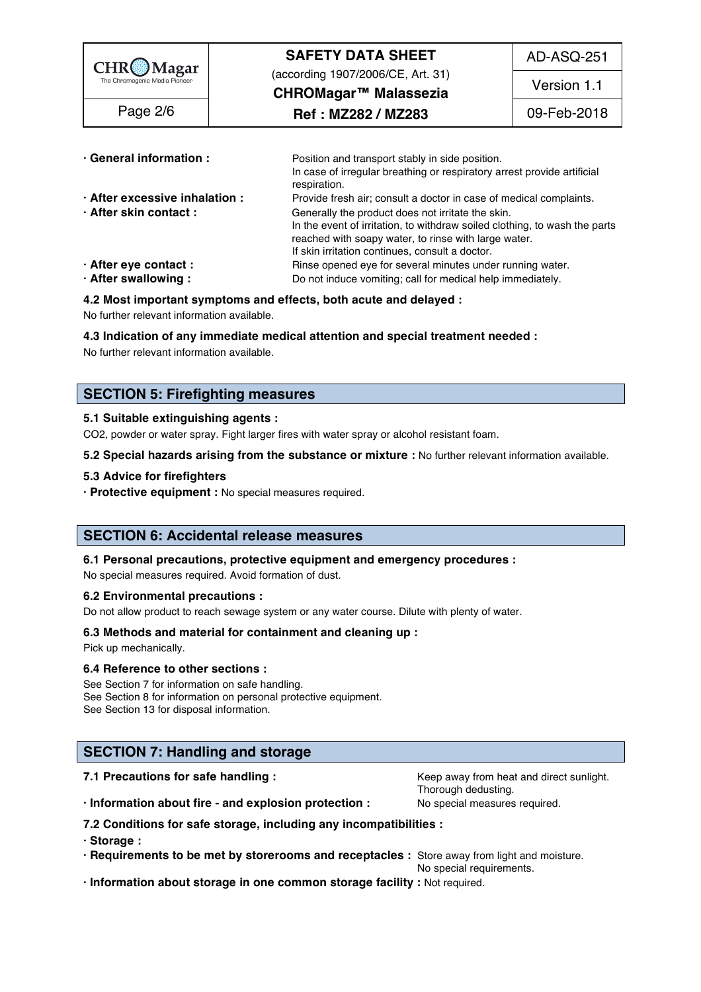| $CHR\underset{\text{The Chromogenic Media Pioneer}}{\bigcirc}$ | <b>SAFETY DATA SHEET</b><br>(according 1907/2006/CE, Art. 31)<br>CHROMagar™ Malassezia                                                                                                                                                                                                                           | AD-ASQ-251<br>Version 1.1 |
|----------------------------------------------------------------|------------------------------------------------------------------------------------------------------------------------------------------------------------------------------------------------------------------------------------------------------------------------------------------------------------------|---------------------------|
| Page 2/6                                                       | Ref : MZ282 / MZ283                                                                                                                                                                                                                                                                                              | 09-Feb-2018               |
| · General information :                                        | Position and transport stably in side position.<br>In case of irregular breathing or respiratory arrest provide artificial<br>respiration.                                                                                                                                                                       |                           |
| · After excessive inhalation :<br>· After skin contact:        | Provide fresh air; consult a doctor in case of medical complaints.<br>Generally the product does not irritate the skin.<br>In the event of irritation, to withdraw soiled clothing, to wash the parts<br>reached with soapy water, to rinse with large water.<br>If skin irritation continues, consult a doctor. |                           |

**Do not induce vomiting; call for medical help immediately.** 

- **· After eye contact : Rinse opened eye for several minutes under running water.** 56 **After swallowing :** 56 **C** and induce vomiting: call for medical help immediately.
- 

### **4.2 Most important symptoms and effects, both acute and delayed :** 58

No further relevant information available. 59

### **4.3 Indication of any immediate medical attention and special treatment needed :** 60

No further relevant information available. 61

## **SECTION 5: Firefighting measures**

### **5.1 Suitable extinguishing agents :** 65

CO2, powder or water spray. Fight larger fires with water spray or alcohol resistant foam.

**5.2 Special hazards arising from the substance or mixture :** No further relevant information available. 67

### **5.3 Advice for firefighters** 68

**· Protective equipment :** No special measures required. 69

## **SECTION 6: Accidental release measures**

### **6.1 Personal precautions, protective equipment and emergency procedures :** 73

No special measures required. Avoid formation of dust.

### **6.2 Environmental precautions :** 75

Do not allow product to reach sewage system or any water course. Dilute with plenty of water.

### **6.3 Methods and material for containment and cleaning up :** 77

Pick up mechanically. The contract of the contract of the contract of the contract of the contract of the contract of the contract of the contract of the contract of the contract of the contract of the contract of the cont

### **6.4 Reference to other sections :** 79

See Section 7 for information on safe handling. See Section 2008 and the section of the section 7 for information on safe handling. See Section 8 for information on personal protective equipment. See Section 13 for disposal information. 822 and 2022 and 2022 and 2022 and 2022 and 2022 and 2022 and 2022 and 2022

## **SECTION 7: Handling and storage**

**7.1 Precautions for safe handling : Keep away from heat and direct sunlight.** 87.1 **Precautions for safe handling :** 

Thorough dedusting. Thorough dedusting and the state of the state of the state of the state of the state of the

**· Information about fire - and explosion protection :** No special measures required. 88

**7.2 Conditions for safe storage, including any incompatibilities :** 89

**· Storage :** 90

**· Requirements to be met by storerooms and receptacles :** Store away from light and moisture. 91

No special requirements.

**· Information about storage in one common storage facility :** Not required. 93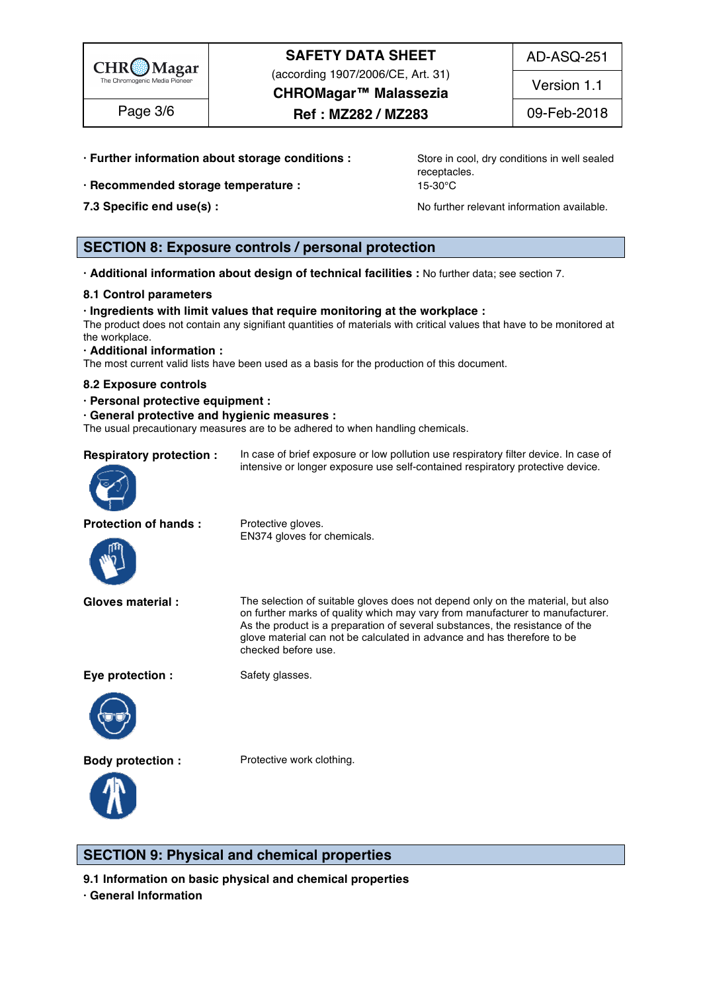

AD-ASQ-251

(according 1907/2006/CE, Art. 31)

**CHROMagar™ Malassezia** Page 3/6  $\qquad$  **Ref : MZ282 / MZ283** 09-Feb-2018

Version 1.1

- **· Further information about storage conditions : Store in cool, dry conditions in well sealed**
- **· Recommended storage temperature :** 15-30°C 96
- 

receptacles. **Example 2016** 

**7.3 Specific end use(s) : No further relevant information available.** 97.3 Specific end use(s) :

## **SECTION 8: Exposure controls / personal protection**

**· Additional information about design of technical facilities :** No further data; see section 7. 101

### **8.1 Control parameters** 102

### **· Ingredients with limit values that require monitoring at the workplace :** 103

The product does not contain any signifiant quantities of materials with critical values that have to be monitored at the workplace. The contract of the contract of the contract of the contract of the contract of the contract of the contract of the contract of the contract of the contract of the contract of the contract of the contract of

### **· Additional information :** 106

The most current valid lists have been used as a basis for the production of this document.

### **8.2 Exposure controls** 108

**· Personal protective equipment :** 109

#### **· General protective and hygienic measures :** 110

|                                | The usual precautionary measures are to be adhered to when handling chemicals.       |  |  |
|--------------------------------|--------------------------------------------------------------------------------------|--|--|
| <b>Respiratory protection:</b> | In case of brief exposure or low pollution use respiratory filter device. In case of |  |  |
| $\odot$                        | intensive or longer exposure use self-contained respiratory protective device.       |  |  |
| <b>Protection of hands:</b>    | Protective gloves.                                                                   |  |  |
| MAZ                            | EN374 gloves for chemicals.                                                          |  |  |

**Gloves material :** The selection of suitable gloves does not depend only on the material, but also on further marks of quality which may vary from manufacturer to manufacturer. As the product is a preparation of several substances, the resistance of the glove material can not be calculated in advance and has therefore to be checked before use.

**Eye protection :** Safety glasses.



**Body protection :** Protective work clothing.



**SECTION 9: Physical and chemical properties** 

**9.1 Information on basic physical and chemical properties** 

**· General Information** 117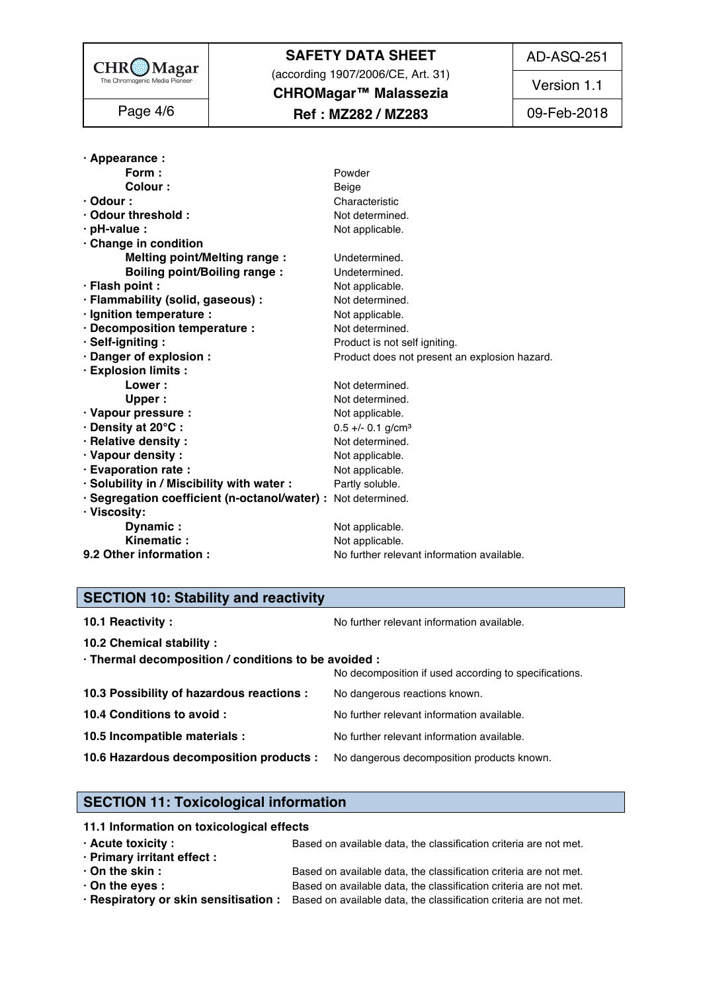

(according 1907/2006/CE, Art. 31)

AD-ASQ-251

Version 1.1

| Page 4/6 |
|----------|
|----------|

## **CHROMagar™ Malassezia** Page 4/6  $\qquad$  **Ref : MZ282 / MZ283** 09-Feb-2018

| · Appearance :                                                |                                               |  |  |
|---------------------------------------------------------------|-----------------------------------------------|--|--|
| Form:                                                         | Powder                                        |  |  |
| <b>Colour</b>                                                 | Beige                                         |  |  |
| $\cdot$ Odour :                                               | Characteristic                                |  |  |
| · Odour threshold:                                            | Not determined.                               |  |  |
| $\cdot$ pH-value :                                            | Not applicable.                               |  |  |
| Change in condition                                           |                                               |  |  |
| <b>Melting point/Melting range:</b>                           | Undetermined.                                 |  |  |
| <b>Boiling point/Boiling range:</b>                           | Undetermined.                                 |  |  |
| · Flash point :                                               | Not applicable.                               |  |  |
| · Flammability (solid, gaseous) :                             | Not determined.                               |  |  |
| · Ignition temperature :                                      | Not applicable.                               |  |  |
| · Decomposition temperature :                                 | Not determined.                               |  |  |
| · Self-igniting:                                              | Product is not self igniting.                 |  |  |
| · Danger of explosion :                                       | Product does not present an explosion hazard. |  |  |
| · Explosion limits :                                          |                                               |  |  |
| Lower                                                         | Not determined.                               |  |  |
| Upper:                                                        | Not determined.                               |  |  |
| · Vapour pressure :                                           | Not applicable.                               |  |  |
| · Density at 20°C:                                            | $0.5 +/- 0.1$ g/cm <sup>3</sup>               |  |  |
| · Relative density:                                           | Not determined.                               |  |  |
| · Vapour density:                                             | Not applicable.                               |  |  |
| · Evaporation rate :                                          | Not applicable.                               |  |  |
| · Solubility in / Miscibility with water :                    | Partly soluble.                               |  |  |
| · Segregation coefficient (n-octanol/water) : Not determined. |                                               |  |  |
| · Viscosity:                                                  |                                               |  |  |
| Dynamic:                                                      | Not applicable.                               |  |  |
| Kinematic:                                                    | Not applicable.                               |  |  |
| 9.2 Other information :                                       | No further relevant information available.    |  |  |

## **SECTION 10: Stability and reactivity**

| No further relevant information available.                                                                    |
|---------------------------------------------------------------------------------------------------------------|
|                                                                                                               |
| · Thermal decomposition / conditions to be avoided :<br>No decomposition if used according to specifications. |
| No dangerous reactions known.                                                                                 |
| No further relevant information available.                                                                    |
| No further relevant information available.                                                                    |
| 10.6 Hazardous decomposition products :<br>No dangerous decomposition products known.                         |
|                                                                                                               |

## **SECTION 11: Toxicological information**

| 11.1 Information on toxicological effects |                                                                                                         |
|-------------------------------------------|---------------------------------------------------------------------------------------------------------|
| $\cdot$ Acute toxicity :                  | Based on available data, the classification criteria are not met.                                       |
| · Primary irritant effect :               |                                                                                                         |
| $\cdot$ On the skin :                     | Based on available data, the classification criteria are not met.                                       |
| $\cdot$ On the eyes :                     | Based on available data, the classification criteria are not met.                                       |
|                                           | · Respiratory or skin sensitisation : Based on available data, the classification criteria are not met. |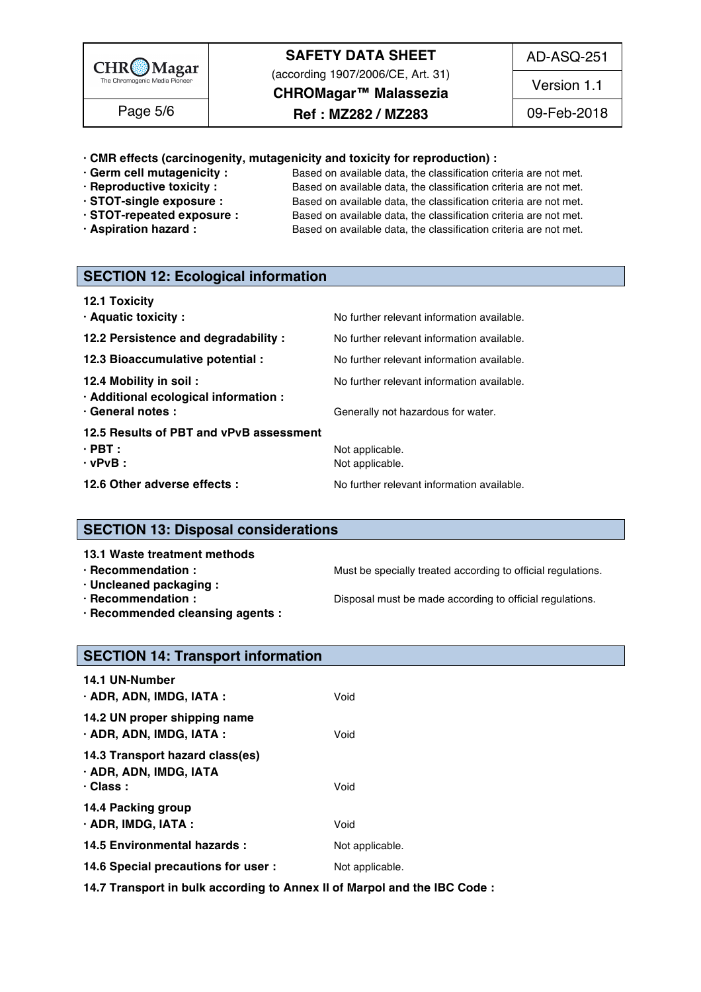

(according 1907/2006/CE, Art. 31)

AD-ASQ-251

**CHROMagar™ Malassezia**

Version 1.1

Page 5/6 | **Ref : MZ282 / MZ283** | 09-Feb-2018

## **· CMR effects (carcinogenity, mutagenicity and toxicity for reproduction) :** 167

- 
- 
- 
- 
- 

**· Germ cell mutagenicity :** Based on available data, the classification criteria are not met.<br>**· Reproductive toxicity :** Based on available data, the classification criteria are not met. Based on available data, the classification criteria are not met. **· STOT-single exposure :** Based on available data, the classification criteria are not met. **· STOT-repeated exposure :** Based on available data, the classification criteria are not met. **· Aspiration hazard :** Based on available data, the classification criteria are not met.

## **SECTION 12: Ecological information**

| 12.1 Toxicity |  |  |
|---------------|--|--|
|---------------|--|--|

| · Aquatic toxicity:                                                                   | No further relevant information available.                                       |
|---------------------------------------------------------------------------------------|----------------------------------------------------------------------------------|
| 12.2 Persistence and degradability :                                                  | No further relevant information available.                                       |
| 12.3 Bioaccumulative potential :                                                      | No further relevant information available.                                       |
| 12.4 Mobility in soil :<br>· Additional ecological information :<br>· General notes : | No further relevant information available.<br>Generally not hazardous for water. |
| 12.5 Results of PBT and vPvB assessment<br>$\cdot$ PBT :<br>$\cdot$ vPvB :            | Not applicable.<br>Not applicable.                                               |
| 12.6 Other adverse effects :                                                          | No further relevant information available.                                       |

## **SECTION 13: Disposal considerations**

## **13.1 Waste treatment methods in the set of the set of the set of the set of the set of the set of the set of th**

**· Recommendation : Must be specially treated according to official regulations.** 

- **· Uncleaned packaging :** 192
- 

**· Recommendation : Disposal must be made according to official regulations.** 

**· Recommended cleansing agents :** 194

## **SECTION 14: Transport information**

| 14.1 UN-Number                                                               |                 |  |  |
|------------------------------------------------------------------------------|-----------------|--|--|
| · ADR, ADN, IMDG, IATA :                                                     | Void            |  |  |
| 14.2 UN proper shipping name<br>$\cdot$ ADR, ADN, IMDG, IATA :               | Void            |  |  |
| 14.3 Transport hazard class(es)<br>· ADR, ADN, IMDG, IATA<br>$\cdot$ Class : | Void            |  |  |
| 14.4 Packing group<br>$\cdot$ ADR, IMDG, IATA :                              | Void            |  |  |
| 14.5 Environmental hazards :                                                 | Not applicable. |  |  |
| 14.6 Special precautions for user :                                          | Not applicable. |  |  |

**14.7 Transport in bulk according to Annex II of Marpol and the IBC Code :** 209